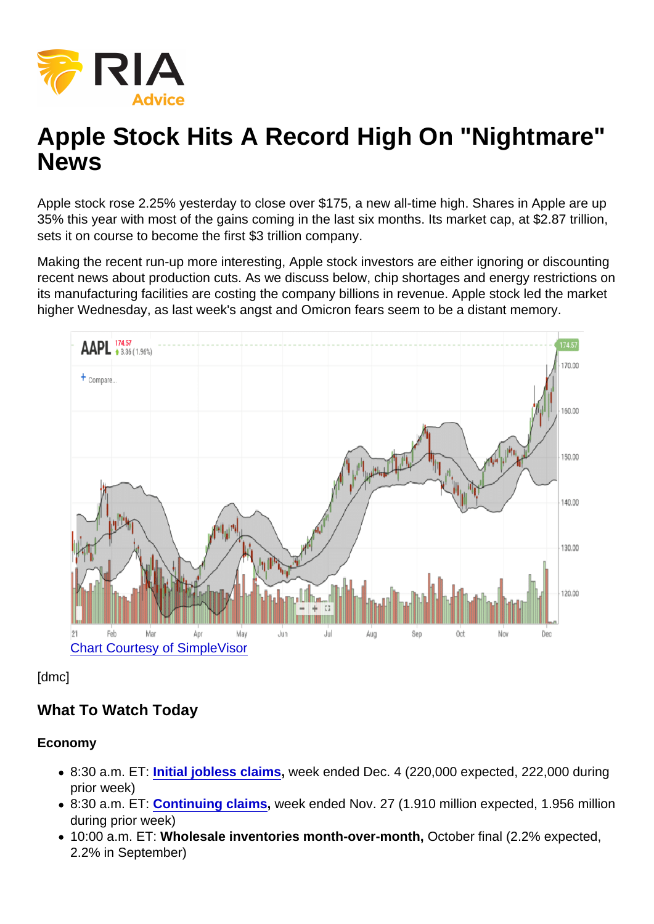# Apple Stock Hits A Record High On "Nightmare" News

Apple stock rose 2.25% yesterday to close over \$175, a new all-time high. Shares in Apple are up 35% this year with most of the gains coming in the last six months. Its market cap, at \$2.87 trillion, sets it on course to become the first \$3 trillion company.

Making the recent run-up more interesting, Apple stock investors are either ignoring or discounting recent news about production cuts. As we discuss below, chip shortages and energy restrictions on its manufacturing facilities are costing the company billions in revenue. Apple stock led the market higher Wednesday, as last week's angst and Omicron fears seem to be a distant memory.

#### [Chart Courtesy of SimpleVisor](https://simplevisor.com)

[dmc]

## What To Watch Today

Economy

- 8:30 a.m. ET: [Initial jobless claims](https://finance.yahoo.com/news/weekly-unemployment-claims-week-ended-dec-4-2021-192034644.html) , week ended Dec. 4 (220,000 expected, 222,000 during prior week)
- 8:30 a.m. ET: [Continuing claims](https://finance.yahoo.com/news/weekly-unemployment-claims-week-ended-dec-4-2021-192034644.html) , week ended Nov. 27 (1.910 million expected, 1.956 million during prior week)
- 10:00 a.m. ET: Wholesale inventories month-over-month, October final (2.2% expected, 2.2% in September)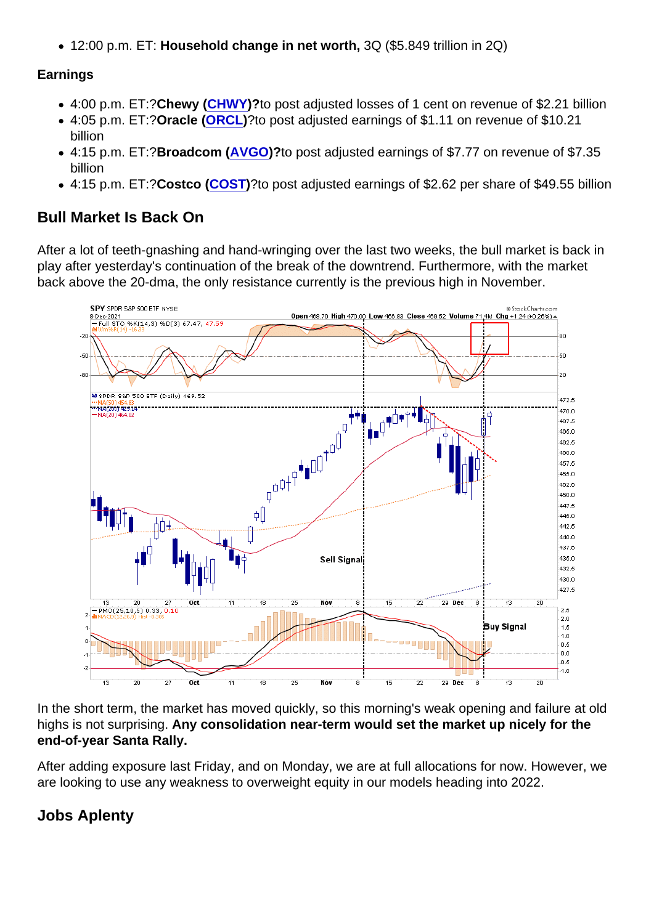12:00 p.m. ET: Household change in net worth, 3Q (\$5.849 trillion in 2Q)

#### Earnings

- 4:00 p.m. ET:?Chewy ( [CHWY](https://finance.yahoo.com/quote/CHWY))?to post adjusted losses of 1 cent on revenue of \$2.21 billion
- 4:05 p.m. ET:?Oracle ( [ORCL](https://finance.yahoo.com/quote/ORCL))?to post adjusted earnings of \$1.11 on revenue of \$10.21 billion
- 4:15 p.m. ET:?Broadcom ( [AVGO\)](https://finance.yahoo.com/quote/AVGO)?to post adjusted earnings of \$7.77 on revenue of \$7.35 billion
- 4:15 p.m. ET:?Costco ( [COST](https://finance.yahoo.com/quote/COST))?to post adjusted earnings of \$2.62 per share of \$49.55 billion

### Bull Market Is Back On

After a lot of teeth-gnashing and hand-wringing over the last two weeks, the bull market is back in play after yesterday's continuation of the break of the downtrend. Furthermore, with the market back above the 20-dma, the only resistance currently is the previous high in November.

In the short term, the market has moved quickly, so this morning's weak opening and failure at old highs is not surprising. Any consolidation near-term would set the market up nicely for the end-of-year Santa Rally.

After adding exposure last Friday, and on Monday, we are at full allocations for now. However, we are looking to use any weakness to overweight equity in our models heading into 2022.

Jobs Aplenty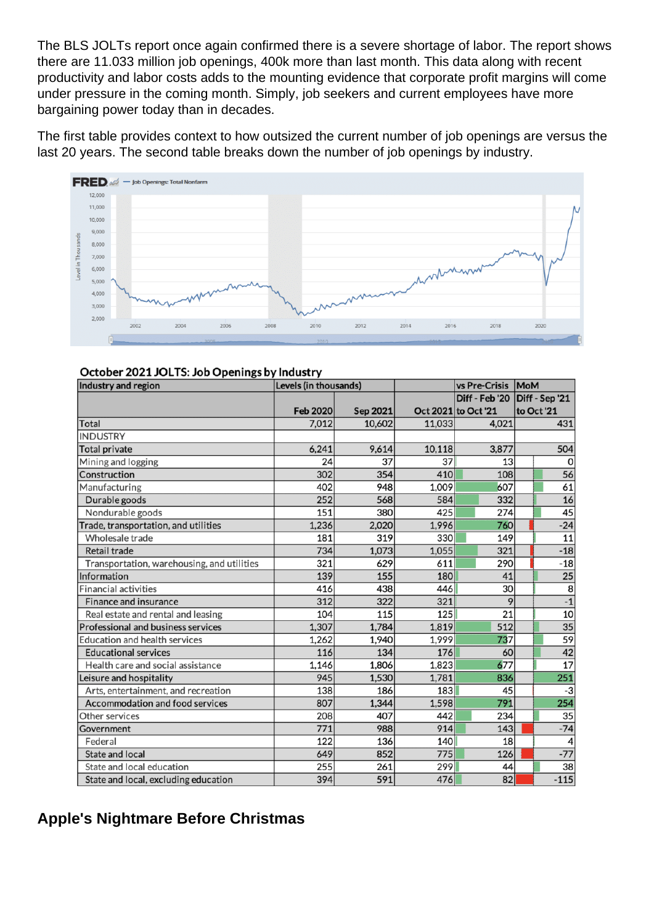The BLS JOLTs report once again confirmed there is a severe shortage of labor. The report shows there are 11.033 million job openings, 400k more than last month. This data along with recent productivity and labor costs adds to the mounting evidence that corporate profit margins will come under pressure in the coming month. Simply, job seekers and current employees have more bargaining power today than in decades.

The first table provides context to how outsized the current number of job openings are versus the last 20 years. The second table breaks down the number of job openings by industry.

Apple's Nightmare Before Christmas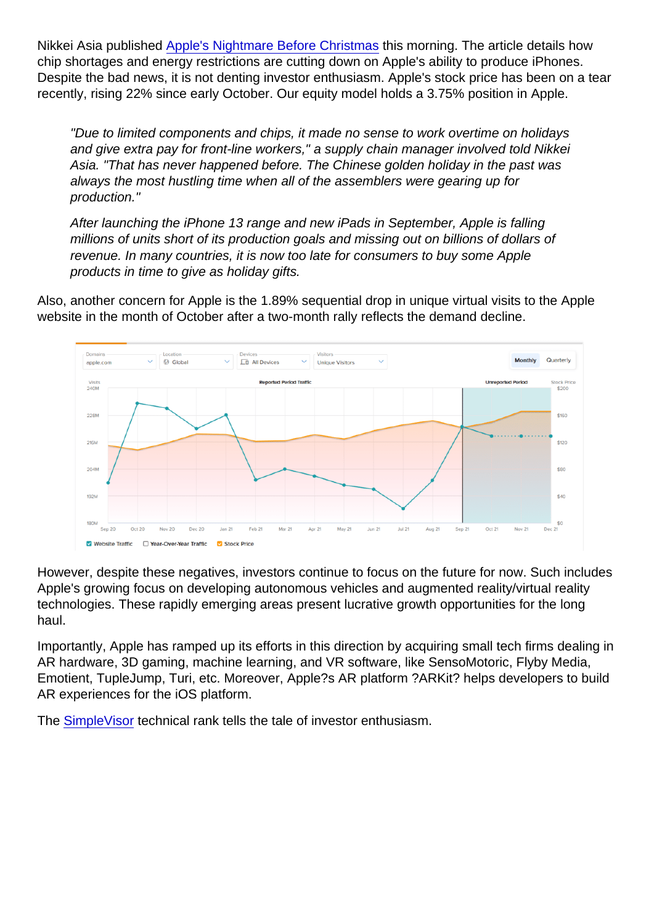Nikkei Asia published [Apple's Nightmare Before Christmas](https://asia.nikkei.com/Spotlight/The-Big-Story/Apple-s-nightmare-before-Christmas-Supply-chain-crisis-delays-gift-deliveries) this morning. The article details how chip shortages and energy restrictions are cutting down on Apple's ability to produce iPhones. Despite the bad news, it is not denting investor enthusiasm. Apple's stock price has been on a tear recently, rising 22% since early October. Our equity model holds a 3.75% position in Apple.

"Due to limited components and chips, it made no sense to work overtime on holidays and give extra pay for front-line workers," a supply chain manager involved told Nikkei Asia. "That has never happened before. The Chinese golden holiday in the past was always the most hustling time when all of the assemblers were gearing up for production."

After launching the iPhone 13 range and new iPads in September, Apple is falling millions of units short of its production goals and missing out on billions of dollars of revenue. In many countries, it is now too late for consumers to buy some Apple products in time to give as holiday gifts.

Also, another concern for Apple is the 1.89% sequential drop in unique virtual visits to the Apple website in the month of October after a two-month rally reflects the demand decline.

However, despite these negatives, investors continue to focus on the future for now. Such includes Apple's growing focus on developing autonomous vehicles and augmented reality/virtual reality technologies. These rapidly emerging areas present lucrative growth opportunities for the long haul.

Importantly, Apple has ramped up its efforts in this direction by acquiring small tech firms dealing in AR hardware, 3D gaming, machine learning, and VR software, like SensoMotoric, Flyby Media, Emotient, TupleJump, Turi, etc. Moreover, Apple?s AR platform ?ARKit? helps developers to build AR experiences for the iOS platform.

The [SimpleVisor](https://simplevisor.com) technical rank tells the tale of investor enthusiasm.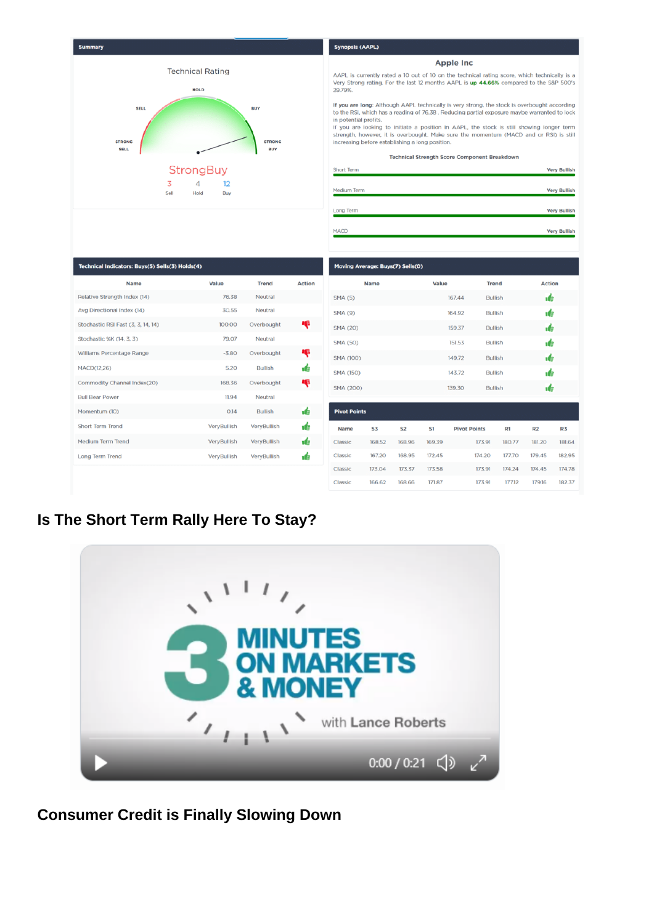Is The Short Term Rally Here To Stay?

Consumer Credit is Finally Slowing Down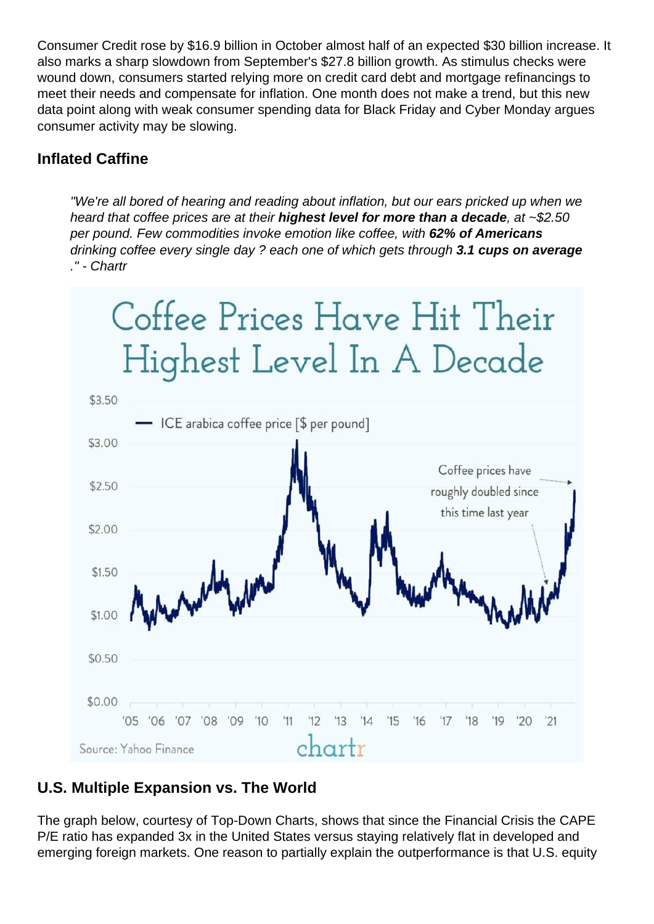Consumer Credit rose by \$16.9 billion in October almost half of an expected \$30 billion increase. It also marks a sharp slowdown from September's \$27.8 billion growth. As stimulus checks were wound down, consumers started relying more on credit card debt and mortgage refinancings to meet their needs and compensate for inflation. One month does not make a trend, but this new data point along with weak consumer spending data for Black Friday and Cyber Monday argues consumer activity may be slowing.

# **Inflated Caffine**

"We're all bored of hearing and reading about inflation, but our ears pricked up when we heard that coffee prices are at their **highest level for more than a decade**, at ~\$2.50 per pound. Few commodities invoke emotion like coffee, with **62% of Americans** drinking coffee every single day ? each one of which gets through **3.1 cups on average** ." - Chartr



## **U.S. Multiple Expansion vs. The World**

The graph below, courtesy of Top-Down Charts, shows that since the Financial Crisis the CAPE P/E ratio has expanded 3x in the United States versus staying relatively flat in developed and emerging foreign markets. One reason to partially explain the outperformance is that U.S. equity